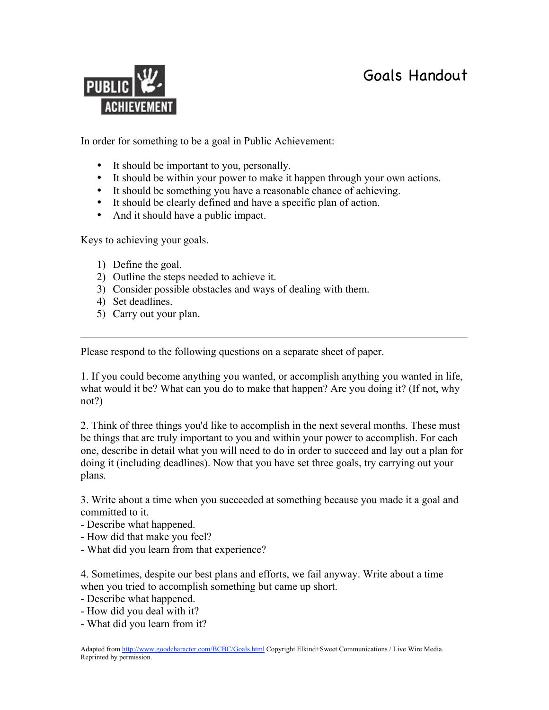

In order for something to be a goal in Public Achievement:

- It should be important to you, personally.
- It should be within your power to make it happen through your own actions.
- It should be something you have a reasonable chance of achieving.
- It should be clearly defined and have a specific plan of action.
- And it should have a public impact.

Keys to achieving your goals.

- 1) Define the goal.
- 2) Outline the steps needed to achieve it.
- 3) Consider possible obstacles and ways of dealing with them.
- 4) Set deadlines.
- 5) Carry out your plan.

Please respond to the following questions on a separate sheet of paper.

1. If you could become anything you wanted, or accomplish anything you wanted in life, what would it be? What can you do to make that happen? Are you doing it? (If not, why not?)

2. Think of three things you'd like to accomplish in the next several months. These must be things that are truly important to you and within your power to accomplish. For each one, describe in detail what you will need to do in order to succeed and lay out a plan for doing it (including deadlines). Now that you have set three goals, try carrying out your plans.

3. Write about a time when you succeeded at something because you made it a goal and committed to it.

- Describe what happened.
- How did that make you feel?
- What did you learn from that experience?

4. Sometimes, despite our best plans and efforts, we fail anyway. Write about a time when you tried to accomplish something but came up short.

- Describe what happened.
- How did you deal with it?
- What did you learn from it?